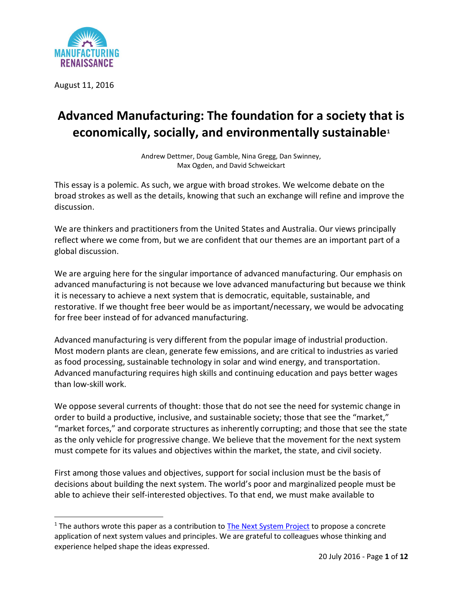

August 11, 2016

# Advanced Manufacturing: The foundation for a society that is economically, socially, and environmentally sustainable<sup>1</sup>

Andrew Dettmer, Doug Gamble, Nina Gregg, Dan Swinney, Max Ogden, and David Schweickart

This essay is a polemic. As such, we argue with broad strokes. We welcome debate on the broad strokes as well as the details, knowing that such an exchange will refine and improve the discussion.

We are thinkers and practitioners from the United States and Australia. Our views principally reflect where we come from, but we are confident that our themes are an important part of a global discussion.

We are arguing here for the singular importance of advanced manufacturing. Our emphasis on advanced manufacturing is not because we love advanced manufacturing but because we think it is necessary to achieve a next system that is democratic, equitable, sustainable, and restorative. If we thought free beer would be as important/necessary, we would be advocating for free beer instead of for advanced manufacturing.

Advanced manufacturing is very different from the popular image of industrial production. Most modern plants are clean, generate few emissions, and are critical to industries as varied as food processing, sustainable technology in solar and wind energy, and transportation. Advanced manufacturing requires high skills and continuing education and pays better wages than low-skill work.

We oppose several currents of thought: those that do not see the need for systemic change in order to build a productive, inclusive, and sustainable society; those that see the "market," "market forces," and corporate structures as inherently corrupting; and those that see the state as the only vehicle for progressive change. We believe that the movement for the next system must compete for its values and objectives within the market, the state, and civil society.

First among those values and objectives, support for social inclusion must be the basis of decisions about building the next system. The world's poor and marginalized people must be able to achieve their self-interested objectives. To that end, we must make available to

<sup>&</sup>lt;sup>1</sup> The authors wrote this paper as a contribution to **The Next System Project** to propose a concrete application of next system values and principles. We are grateful to colleagues whose thinking and experience helped shape the ideas expressed.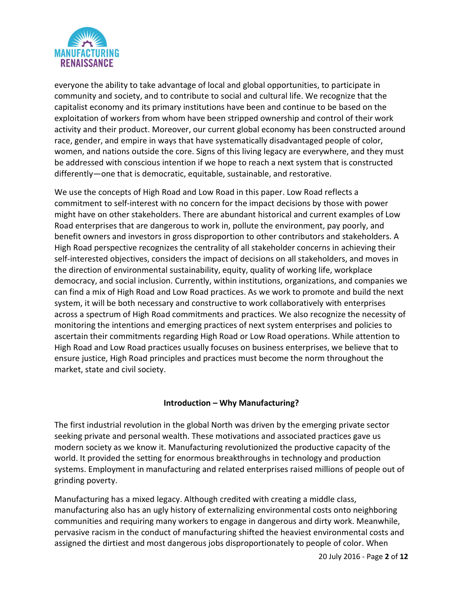

everyone the ability to take advantage of local and global opportunities, to participate in community and society, and to contribute to social and cultural life. We recognize that the capitalist economy and its primary institutions have been and continue to be based on the exploitation of workers from whom have been stripped ownership and control of their work activity and their product. Moreover, our current global economy has been constructed around race, gender, and empire in ways that have systematically disadvantaged people of color, women, and nations outside the core. Signs of this living legacy are everywhere, and they must be addressed with conscious intention if we hope to reach a next system that is constructed differently—one that is democratic, equitable, sustainable, and restorative.

We use the concepts of High Road and Low Road in this paper. Low Road reflects a commitment to self-interest with no concern for the impact decisions by those with power might have on other stakeholders. There are abundant historical and current examples of Low Road enterprises that are dangerous to work in, pollute the environment, pay poorly, and benefit owners and investors in gross disproportion to other contributors and stakeholders. A High Road perspective recognizes the centrality of all stakeholder concerns in achieving their self-interested objectives, considers the impact of decisions on all stakeholders, and moves in the direction of environmental sustainability, equity, quality of working life, workplace democracy, and social inclusion. Currently, within institutions, organizations, and companies we can find a mix of High Road and Low Road practices. As we work to promote and build the next system, it will be both necessary and constructive to work collaboratively with enterprises across a spectrum of High Road commitments and practices. We also recognize the necessity of monitoring the intentions and emerging practices of next system enterprises and policies to ascertain their commitments regarding High Road or Low Road operations. While attention to High Road and Low Road practices usually focuses on business enterprises, we believe that to ensure justice, High Road principles and practices must become the norm throughout the market, state and civil society.

## Introduction – Why Manufacturing?

The first industrial revolution in the global North was driven by the emerging private sector seeking private and personal wealth. These motivations and associated practices gave us modern society as we know it. Manufacturing revolutionized the productive capacity of the world. It provided the setting for enormous breakthroughs in technology and production systems. Employment in manufacturing and related enterprises raised millions of people out of grinding poverty.

Manufacturing has a mixed legacy. Although credited with creating a middle class, manufacturing also has an ugly history of externalizing environmental costs onto neighboring communities and requiring many workers to engage in dangerous and dirty work. Meanwhile, pervasive racism in the conduct of manufacturing shifted the heaviest environmental costs and assigned the dirtiest and most dangerous jobs disproportionately to people of color. When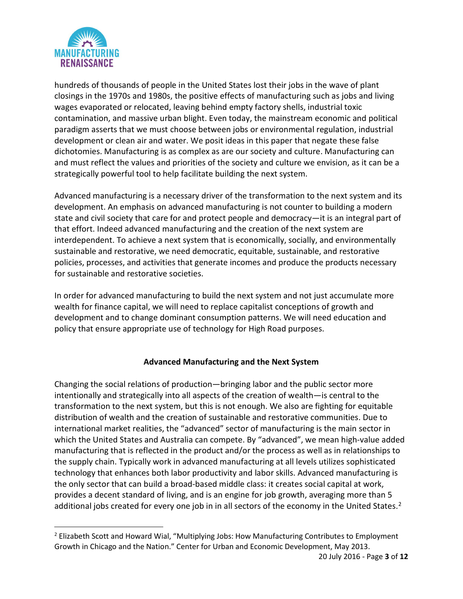

hundreds of thousands of people in the United States lost their jobs in the wave of plant closings in the 1970s and 1980s, the positive effects of manufacturing such as jobs and living wages evaporated or relocated, leaving behind empty factory shells, industrial toxic contamination, and massive urban blight. Even today, the mainstream economic and political paradigm asserts that we must choose between jobs or environmental regulation, industrial development or clean air and water. We posit ideas in this paper that negate these false dichotomies. Manufacturing is as complex as are our society and culture. Manufacturing can and must reflect the values and priorities of the society and culture we envision, as it can be a strategically powerful tool to help facilitate building the next system.

Advanced manufacturing is a necessary driver of the transformation to the next system and its development. An emphasis on advanced manufacturing is not counter to building a modern state and civil society that care for and protect people and democracy—it is an integral part of that effort. Indeed advanced manufacturing and the creation of the next system are interdependent. To achieve a next system that is economically, socially, and environmentally sustainable and restorative, we need democratic, equitable, sustainable, and restorative policies, processes, and activities that generate incomes and produce the products necessary for sustainable and restorative societies.

In order for advanced manufacturing to build the next system and not just accumulate more wealth for finance capital, we will need to replace capitalist conceptions of growth and development and to change dominant consumption patterns. We will need education and policy that ensure appropriate use of technology for High Road purposes.

## Advanced Manufacturing and the Next System

Changing the social relations of production—bringing labor and the public sector more intentionally and strategically into all aspects of the creation of wealth—is central to the transformation to the next system, but this is not enough. We also are fighting for equitable distribution of wealth and the creation of sustainable and restorative communities. Due to international market realities, the "advanced" sector of manufacturing is the main sector in which the United States and Australia can compete. By "advanced", we mean high-value added manufacturing that is reflected in the product and/or the process as well as in relationships to the supply chain. Typically work in advanced manufacturing at all levels utilizes sophisticated technology that enhances both labor productivity and labor skills. Advanced manufacturing is the only sector that can build a broad-based middle class: it creates social capital at work, provides a decent standard of living, and is an engine for job growth, averaging more than 5 additional jobs created for every one job in in all sectors of the economy in the United States.<sup>2</sup>

<sup>&</sup>lt;sup>2</sup> Elizabeth Scott and Howard Wial, "Multiplying Jobs: How Manufacturing Contributes to Employment Growth in Chicago and the Nation." Center for Urban and Economic Development, May 2013.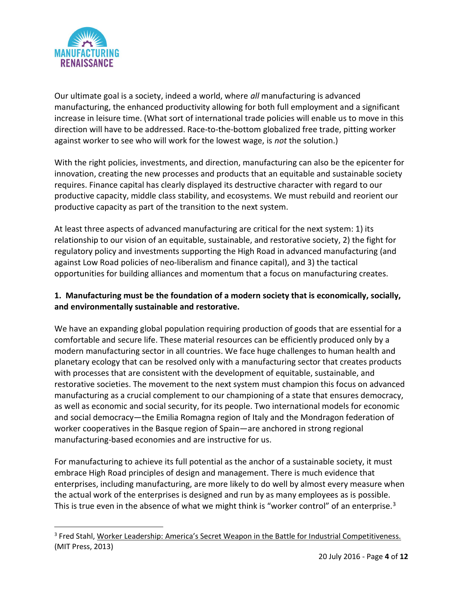

Our ultimate goal is a society, indeed a world, where all manufacturing is advanced manufacturing, the enhanced productivity allowing for both full employment and a significant increase in leisure time. (What sort of international trade policies will enable us to move in this direction will have to be addressed. Race-to-the-bottom globalized free trade, pitting worker against worker to see who will work for the lowest wage, is not the solution.)

With the right policies, investments, and direction, manufacturing can also be the epicenter for innovation, creating the new processes and products that an equitable and sustainable society requires. Finance capital has clearly displayed its destructive character with regard to our productive capacity, middle class stability, and ecosystems. We must rebuild and reorient our productive capacity as part of the transition to the next system.

At least three aspects of advanced manufacturing are critical for the next system: 1) its relationship to our vision of an equitable, sustainable, and restorative society, 2) the fight for regulatory policy and investments supporting the High Road in advanced manufacturing (and against Low Road policies of neo-liberalism and finance capital), and 3) the tactical opportunities for building alliances and momentum that a focus on manufacturing creates.

# 1. Manufacturing must be the foundation of a modern society that is economically, socially, and environmentally sustainable and restorative.

We have an expanding global population requiring production of goods that are essential for a comfortable and secure life. These material resources can be efficiently produced only by a modern manufacturing sector in all countries. We face huge challenges to human health and planetary ecology that can be resolved only with a manufacturing sector that creates products with processes that are consistent with the development of equitable, sustainable, and restorative societies. The movement to the next system must champion this focus on advanced manufacturing as a crucial complement to our championing of a state that ensures democracy, as well as economic and social security, for its people. Two international models for economic and social democracy—the Emilia Romagna region of Italy and the Mondragon federation of worker cooperatives in the Basque region of Spain—are anchored in strong regional manufacturing-based economies and are instructive for us.

For manufacturing to achieve its full potential as the anchor of a sustainable society, it must embrace High Road principles of design and management. There is much evidence that enterprises, including manufacturing, are more likely to do well by almost every measure when the actual work of the enterprises is designed and run by as many employees as is possible. This is true even in the absence of what we might think is "worker control" of an enterprise.<sup>3</sup>

<sup>&</sup>lt;sup>3</sup> Fred Stahl, Worker Leadership: America's Secret Weapon in the Battle for Industrial Competitiveness. (MIT Press, 2013)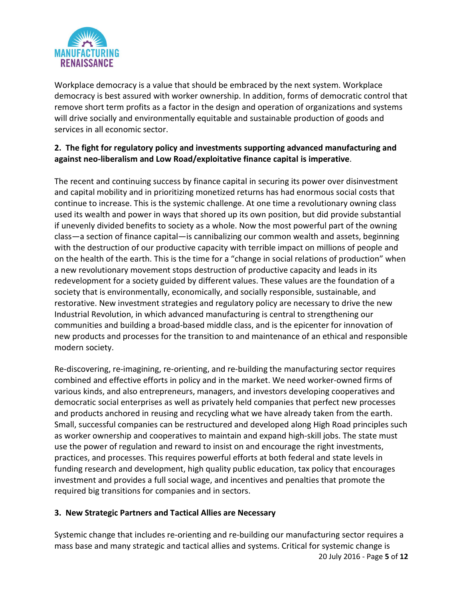

Workplace democracy is a value that should be embraced by the next system. Workplace democracy is best assured with worker ownership. In addition, forms of democratic control that remove short term profits as a factor in the design and operation of organizations and systems will drive socially and environmentally equitable and sustainable production of goods and services in all economic sector.

# 2. The fight for regulatory policy and investments supporting advanced manufacturing and against neo-liberalism and Low Road/exploitative finance capital is imperative.

The recent and continuing success by finance capital in securing its power over disinvestment and capital mobility and in prioritizing monetized returns has had enormous social costs that continue to increase. This is the systemic challenge. At one time a revolutionary owning class used its wealth and power in ways that shored up its own position, but did provide substantial if unevenly divided benefits to society as a whole. Now the most powerful part of the owning class—a section of finance capital—is cannibalizing our common wealth and assets, beginning with the destruction of our productive capacity with terrible impact on millions of people and on the health of the earth. This is the time for a "change in social relations of production" when a new revolutionary movement stops destruction of productive capacity and leads in its redevelopment for a society guided by different values. These values are the foundation of a society that is environmentally, economically, and socially responsible, sustainable, and restorative. New investment strategies and regulatory policy are necessary to drive the new Industrial Revolution, in which advanced manufacturing is central to strengthening our communities and building a broad-based middle class, and is the epicenter for innovation of new products and processes for the transition to and maintenance of an ethical and responsible modern society.

Re-discovering, re-imagining, re-orienting, and re-building the manufacturing sector requires combined and effective efforts in policy and in the market. We need worker-owned firms of various kinds, and also entrepreneurs, managers, and investors developing cooperatives and democratic social enterprises as well as privately held companies that perfect new processes and products anchored in reusing and recycling what we have already taken from the earth. Small, successful companies can be restructured and developed along High Road principles such as worker ownership and cooperatives to maintain and expand high-skill jobs. The state must use the power of regulation and reward to insist on and encourage the right investments, practices, and processes. This requires powerful efforts at both federal and state levels in funding research and development, high quality public education, tax policy that encourages investment and provides a full social wage, and incentives and penalties that promote the required big transitions for companies and in sectors.

## 3. New Strategic Partners and Tactical Allies are Necessary

20 July 2016 - Page 5 of 12 Systemic change that includes re-orienting and re-building our manufacturing sector requires a mass base and many strategic and tactical allies and systems. Critical for systemic change is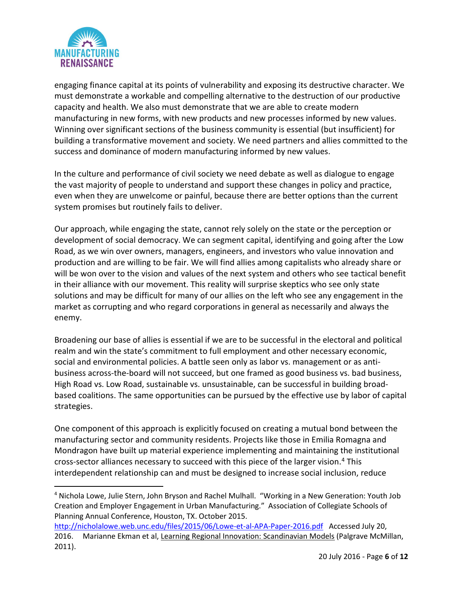

engaging finance capital at its points of vulnerability and exposing its destructive character. We must demonstrate a workable and compelling alternative to the destruction of our productive capacity and health. We also must demonstrate that we are able to create modern manufacturing in new forms, with new products and new processes informed by new values. Winning over significant sections of the business community is essential (but insufficient) for building a transformative movement and society. We need partners and allies committed to the success and dominance of modern manufacturing informed by new values.

In the culture and performance of civil society we need debate as well as dialogue to engage the vast majority of people to understand and support these changes in policy and practice, even when they are unwelcome or painful, because there are better options than the current system promises but routinely fails to deliver.

Our approach, while engaging the state, cannot rely solely on the state or the perception or development of social democracy. We can segment capital, identifying and going after the Low Road, as we win over owners, managers, engineers, and investors who value innovation and production and are willing to be fair. We will find allies among capitalists who already share or will be won over to the vision and values of the next system and others who see tactical benefit in their alliance with our movement. This reality will surprise skeptics who see only state solutions and may be difficult for many of our allies on the left who see any engagement in the market as corrupting and who regard corporations in general as necessarily and always the enemy.

Broadening our base of allies is essential if we are to be successful in the electoral and political realm and win the state's commitment to full employment and other necessary economic, social and environmental policies. A battle seen only as labor vs. management or as antibusiness across-the-board will not succeed, but one framed as good business vs. bad business, High Road vs. Low Road, sustainable vs. unsustainable, can be successful in building broadbased coalitions. The same opportunities can be pursued by the effective use by labor of capital strategies.

One component of this approach is explicitly focused on creating a mutual bond between the manufacturing sector and community residents. Projects like those in Emilia Romagna and Mondragon have built up material experience implementing and maintaining the institutional cross-sector alliances necessary to succeed with this piece of the larger vision.<sup>4</sup> This interdependent relationship can and must be designed to increase social inclusion, reduce

<sup>&</sup>lt;sup>4</sup> Nichola Lowe, Julie Stern, John Bryson and Rachel Mulhall. "Working in a New Generation: Youth Job Creation and Employer Engagement in Urban Manufacturing." Association of Collegiate Schools of Planning Annual Conference, Houston, TX. October 2015.

http://nicholalowe.web.unc.edu/files/2015/06/Lowe-et-al-APA-Paper-2016.pdf Accessed July 20, 2016. Marianne Ekman et al, Learning Regional Innovation: Scandinavian Models (Palgrave McMillan, 2011).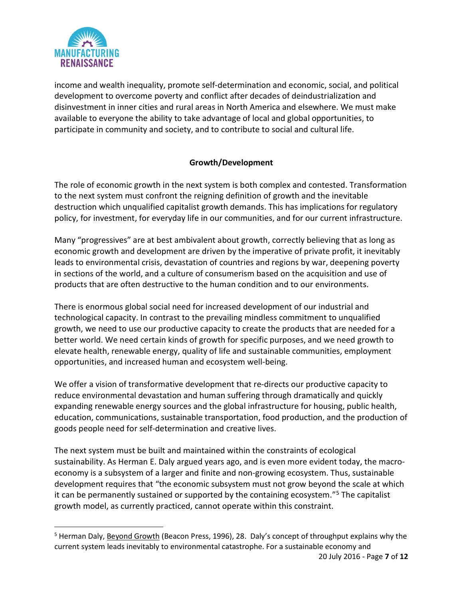

income and wealth inequality, promote self-determination and economic, social, and political development to overcome poverty and conflict after decades of deindustrialization and disinvestment in inner cities and rural areas in North America and elsewhere. We must make available to everyone the ability to take advantage of local and global opportunities, to participate in community and society, and to contribute to social and cultural life.

# Growth/Development

The role of economic growth in the next system is both complex and contested. Transformation to the next system must confront the reigning definition of growth and the inevitable destruction which unqualified capitalist growth demands. This has implications for regulatory policy, for investment, for everyday life in our communities, and for our current infrastructure.

Many "progressives" are at best ambivalent about growth, correctly believing that as long as economic growth and development are driven by the imperative of private profit, it inevitably leads to environmental crisis, devastation of countries and regions by war, deepening poverty in sections of the world, and a culture of consumerism based on the acquisition and use of products that are often destructive to the human condition and to our environments.

There is enormous global social need for increased development of our industrial and technological capacity. In contrast to the prevailing mindless commitment to unqualified growth, we need to use our productive capacity to create the products that are needed for a better world. We need certain kinds of growth for specific purposes, and we need growth to elevate health, renewable energy, quality of life and sustainable communities, employment opportunities, and increased human and ecosystem well-being.

We offer a vision of transformative development that re-directs our productive capacity to reduce environmental devastation and human suffering through dramatically and quickly expanding renewable energy sources and the global infrastructure for housing, public health, education, communications, sustainable transportation, food production, and the production of goods people need for self-determination and creative lives.

The next system must be built and maintained within the constraints of ecological sustainability. As Herman E. Daly argued years ago, and is even more evident today, the macroeconomy is a subsystem of a larger and finite and non-growing ecosystem. Thus, sustainable development requires that "the economic subsystem must not grow beyond the scale at which it can be permanently sustained or supported by the containing ecosystem."<sup>5</sup> The capitalist growth model, as currently practiced, cannot operate within this constraint.

<sup>20</sup> July 2016 - Page 7 of 12 <sup>5</sup> Herman Daly, Beyond Growth (Beacon Press, 1996), 28. Daly's concept of throughput explains why the current system leads inevitably to environmental catastrophe. For a sustainable economy and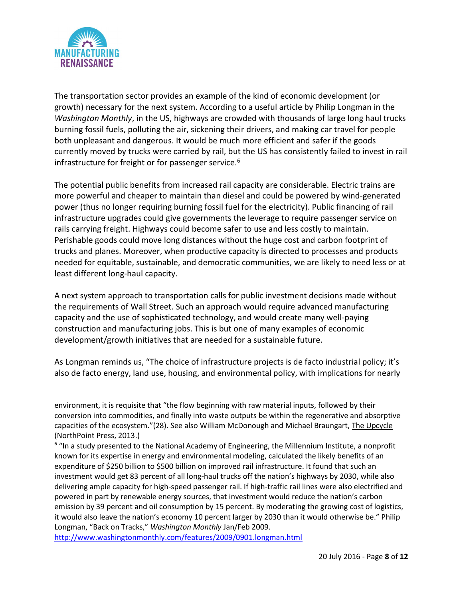

The transportation sector provides an example of the kind of economic development (or growth) necessary for the next system. According to a useful article by Philip Longman in the Washington Monthly, in the US, highways are crowded with thousands of large long haul trucks burning fossil fuels, polluting the air, sickening their drivers, and making car travel for people both unpleasant and dangerous. It would be much more efficient and safer if the goods currently moved by trucks were carried by rail, but the US has consistently failed to invest in rail infrastructure for freight or for passenger service.<sup>6</sup>

The potential public benefits from increased rail capacity are considerable. Electric trains are more powerful and cheaper to maintain than diesel and could be powered by wind-generated power (thus no longer requiring burning fossil fuel for the electricity). Public financing of rail infrastructure upgrades could give governments the leverage to require passenger service on rails carrying freight. Highways could become safer to use and less costly to maintain. Perishable goods could move long distances without the huge cost and carbon footprint of trucks and planes. Moreover, when productive capacity is directed to processes and products needed for equitable, sustainable, and democratic communities, we are likely to need less or at least different long-haul capacity.

A next system approach to transportation calls for public investment decisions made without the requirements of Wall Street. Such an approach would require advanced manufacturing capacity and the use of sophisticated technology, and would create many well-paying construction and manufacturing jobs. This is but one of many examples of economic development/growth initiatives that are needed for a sustainable future.

As Longman reminds us, "The choice of infrastructure projects is de facto industrial policy; it's also de facto energy, land use, housing, and environmental policy, with implications for nearly

environment, it is requisite that "the flow beginning with raw material inputs, followed by their conversion into commodities, and finally into waste outputs be within the regenerative and absorptive capacities of the ecosystem."(28). See also William McDonough and Michael Braungart, The Upcycle (NorthPoint Press, 2013.)

 $6$  "In a study presented to the National Academy of Engineering, the Millennium Institute, a nonprofit known for its expertise in energy and environmental modeling, calculated the likely benefits of an expenditure of \$250 billion to \$500 billion on improved rail infrastructure. It found that such an investment would get 83 percent of all long-haul trucks off the nation's highways by 2030, while also delivering ample capacity for high-speed passenger rail. If high-traffic rail lines were also electrified and powered in part by renewable energy sources, that investment would reduce the nation's carbon emission by 39 percent and oil consumption by 15 percent. By moderating the growing cost of logistics, it would also leave the nation's economy 10 percent larger by 2030 than it would otherwise be." Philip Longman, "Back on Tracks," Washington Monthly Jan/Feb 2009.

http://www.washingtonmonthly.com/features/2009/0901.longman.html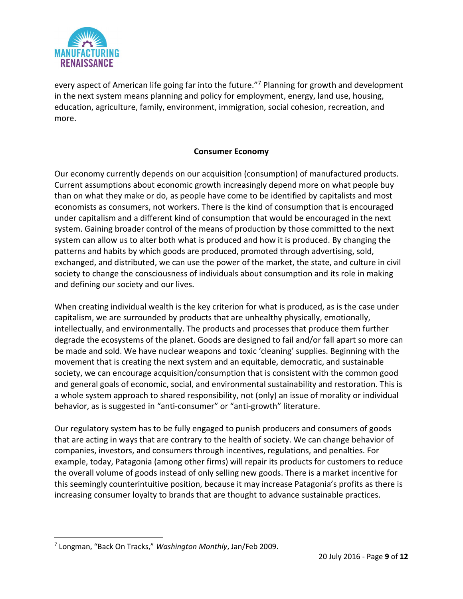

every aspect of American life going far into the future."<sup>7</sup> Planning for growth and development in the next system means planning and policy for employment, energy, land use, housing, education, agriculture, family, environment, immigration, social cohesion, recreation, and more.

#### Consumer Economy

Our economy currently depends on our acquisition (consumption) of manufactured products. Current assumptions about economic growth increasingly depend more on what people buy than on what they make or do, as people have come to be identified by capitalists and most economists as consumers, not workers. There is the kind of consumption that is encouraged under capitalism and a different kind of consumption that would be encouraged in the next system. Gaining broader control of the means of production by those committed to the next system can allow us to alter both what is produced and how it is produced. By changing the patterns and habits by which goods are produced, promoted through advertising, sold, exchanged, and distributed, we can use the power of the market, the state, and culture in civil society to change the consciousness of individuals about consumption and its role in making and defining our society and our lives.

When creating individual wealth is the key criterion for what is produced, as is the case under capitalism, we are surrounded by products that are unhealthy physically, emotionally, intellectually, and environmentally. The products and processes that produce them further degrade the ecosystems of the planet. Goods are designed to fail and/or fall apart so more can be made and sold. We have nuclear weapons and toxic 'cleaning' supplies. Beginning with the movement that is creating the next system and an equitable, democratic, and sustainable society, we can encourage acquisition/consumption that is consistent with the common good and general goals of economic, social, and environmental sustainability and restoration. This is a whole system approach to shared responsibility, not (only) an issue of morality or individual behavior, as is suggested in "anti-consumer" or "anti-growth" literature.

Our regulatory system has to be fully engaged to punish producers and consumers of goods that are acting in ways that are contrary to the health of society. We can change behavior of companies, investors, and consumers through incentives, regulations, and penalties. For example, today, Patagonia (among other firms) will repair its products for customers to reduce the overall volume of goods instead of only selling new goods. There is a market incentive for this seemingly counterintuitive position, because it may increase Patagonia's profits as there is increasing consumer loyalty to brands that are thought to advance sustainable practices.

<sup>&</sup>lt;sup>7</sup> Longman, "Back On Tracks," Washington Monthly, Jan/Feb 2009.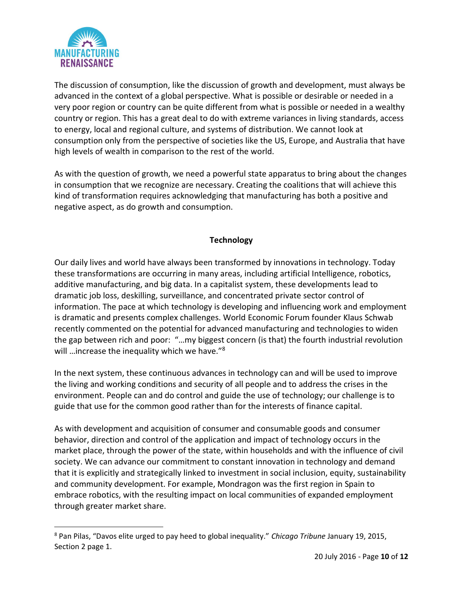

The discussion of consumption, like the discussion of growth and development, must always be advanced in the context of a global perspective. What is possible or desirable or needed in a very poor region or country can be quite different from what is possible or needed in a wealthy country or region. This has a great deal to do with extreme variances in living standards, access to energy, local and regional culture, and systems of distribution. We cannot look at consumption only from the perspective of societies like the US, Europe, and Australia that have high levels of wealth in comparison to the rest of the world.

As with the question of growth, we need a powerful state apparatus to bring about the changes in consumption that we recognize are necessary. Creating the coalitions that will achieve this kind of transformation requires acknowledging that manufacturing has both a positive and negative aspect, as do growth and consumption.

## **Technology**

Our daily lives and world have always been transformed by innovations in technology. Today these transformations are occurring in many areas, including artificial Intelligence, robotics, additive manufacturing, and big data. In a capitalist system, these developments lead to dramatic job loss, deskilling, surveillance, and concentrated private sector control of information. The pace at which technology is developing and influencing work and employment is dramatic and presents complex challenges. World Economic Forum founder Klaus Schwab recently commented on the potential for advanced manufacturing and technologies to widen the gap between rich and poor: "…my biggest concern (is that) the fourth industrial revolution will …increase the inequality which we have."<sup>8</sup>

In the next system, these continuous advances in technology can and will be used to improve the living and working conditions and security of all people and to address the crises in the environment. People can and do control and guide the use of technology; our challenge is to guide that use for the common good rather than for the interests of finance capital.

As with development and acquisition of consumer and consumable goods and consumer behavior, direction and control of the application and impact of technology occurs in the market place, through the power of the state, within households and with the influence of civil society. We can advance our commitment to constant innovation in technology and demand that it is explicitly and strategically linked to investment in social inclusion, equity, sustainability and community development. For example, Mondragon was the first region in Spain to embrace robotics, with the resulting impact on local communities of expanded employment through greater market share.

<sup>&</sup>lt;sup>8</sup> Pan Pilas, "Davos elite urged to pay heed to global inequality." Chicago Tribune January 19, 2015, Section 2 page 1.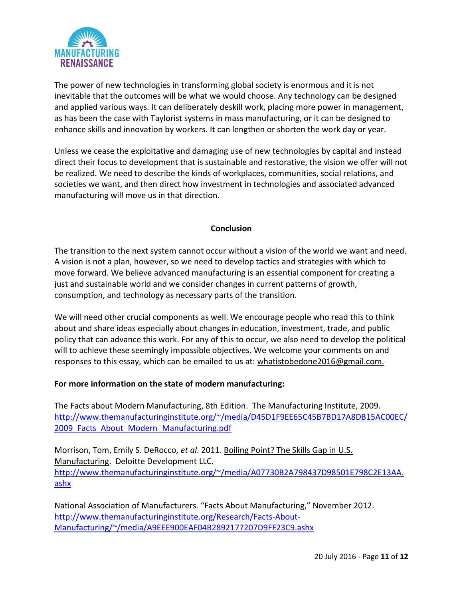

The power of new technologies in transforming global society is enormous and it is not inevitable that the outcomes will be what we would choose. Any technology can be designed and applied various ways. It can deliberately deskill work, placing more power in management, as has been the case with Taylorist systems in mass manufacturing, or it can be designed to enhance skills and innovation by workers. It can lengthen or shorten the work day or year.

Unless we cease the exploitative and damaging use of new technologies by capital and instead direct their focus to development that is sustainable and restorative, the vision we offer will not be realized. We need to describe the kinds of workplaces, communities, social relations, and societies we want, and then direct how investment in technologies and associated advanced manufacturing will move us in that direction.

#### Conclusion

The transition to the next system cannot occur without a vision of the world we want and need. A vision is not a plan, however, so we need to develop tactics and strategies with which to move forward. We believe advanced manufacturing is an essential component for creating a just and sustainable world and we consider changes in current patterns of growth, consumption, and technology as necessary parts of the transition.

We will need other crucial components as well. We encourage people who read this to think about and share ideas especially about changes in education, investment, trade, and public policy that can advance this work. For any of this to occur, we also need to develop the political will to achieve these seemingly impossible objectives. We welcome your comments on and responses to this essay, which can be emailed to us at: whatistobedone2016@gmail.com.

#### For more information on the state of modern manufacturing:

The Facts about Modern Manufacturing, 8th Edition. The Manufacturing Institute, 2009. http://www.themanufacturinginstitute.org/~/media/D45D1F9EE65C45B7BD17A8DB15AC00EC/ 2009 Facts About Modern Manufacturing.pdf

Morrison, Tom, Emily S. DeRocco, et al. 2011. Boiling Point? The Skills Gap in U.S. Manufacturing. Deloitte Development LLC. http://www.themanufacturinginstitute.org/~/media/A07730B2A798437D98501E798C2E13AA. ashx

National Association of Manufacturers. "Facts About Manufacturing," November 2012. http://www.themanufacturinginstitute.org/Research/Facts-About-Manufacturing/~/media/A9EEE900EAF04B2892177207D9FF23C9.ashx